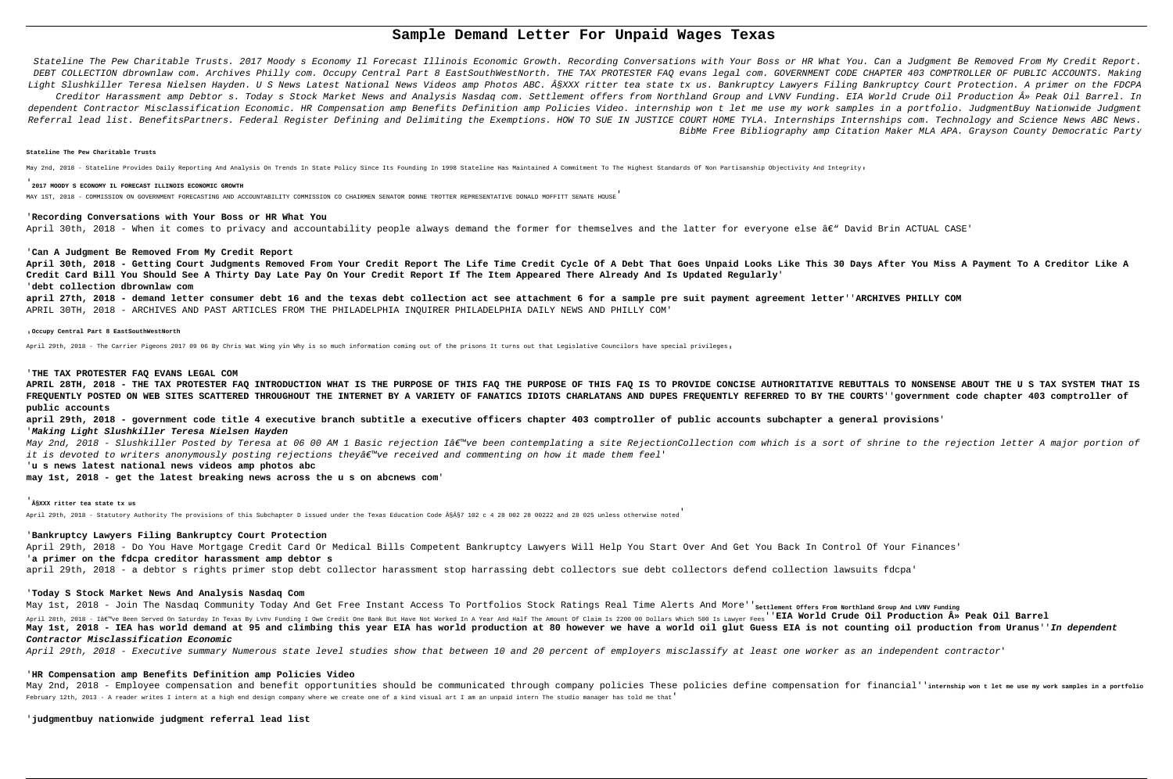# **Sample Demand Letter For Unpaid Wages Texas**

Stateline The Pew Charitable Trusts. 2017 Moody s Economy Il Forecast Illinois Economic Growth. Recording Conversations with Your Boss or HR What You. Can a Judgment Be Removed From My Credit Report. DEBT COLLECTION dbrownlaw com. Archives Philly com. Occupy Central Part 8 EastSouthWestNorth. THE TAX PROTESTER FAQ evans legal com. GOVERNMENT CODE CHAPTER 403 COMPTROLLER OF PUBLIC ACCOUNTS. Making Light Slushkiller Teresa Nielsen Hayden. U S News Latest National News Videos amp Photos ABC. ÂSXXX ritter tea state tx us. Bankruptcy Lawyers Filing Bankruptcy Court Protection. A primer on the FDCPA

Creditor Harassment amp Debtor s. Today s Stock Market News and Analysis Nasdaq com. Settlement offers from Northland Group and LVNV Funding. EIA World Crude Oil Production » Peak Oil Barrel. In dependent Contractor Misclassification Economic. HR Compensation amp Benefits Definition amp Policies Video. internship won t let me use my work samples in a portfolio. JudgmentBuy Nationwide Judgment Referral lead list. BenefitsPartners. Federal Register Defining and Delimiting the Exemptions. HOW TO SUE IN JUSTICE COURT HOME TYLA. Internships Internships com. Technology and Science News ABC News.

BibMe Free Bibliography amp Citation Maker MLA APA. Grayson County Democratic Party

#### **Stateline The Pew Charitable Trusts**

May 2nd, 2018 - Stateline Provides Daily Reporting And Analysis On Trends In State Policy Since Its Founding In 1998 Stateline Has Maintained A Commitment To The Highest Standards Of Non Partisanship Objectivity And Integr

#### '**2017 MOODY S ECONOMY IL FORECAST ILLINOIS ECONOMIC GROWTH**

MAY 1ST, 2018 - COMMISSION ON GOVERNMENT FORECASTING AND ACCOUNTABILITY COMMISSION CO CHAIRMEN SENATOR DONNE TROTTER REPRESENTATIVE DONALD MOFFITT SENATE HOUSE'

### '**Recording Conversations with Your Boss or HR What You**

April 30th, 2018 - When it comes to privacy and accountability people always demand the former for themselves and the latter for everyone else â€" David Brin ACTUAL CASE'

#### '**Can A Judgment Be Removed From My Credit Report**

**April 30th, 2018 - Getting Court Judgments Removed From Your Credit Report The Life Time Credit Cycle Of A Debt That Goes Unpaid Looks Like This 30 Days After You Miss A Payment To A Creditor Like A Credit Card Bill You Should See A Thirty Day Late Pay On Your Credit Report If The Item Appeared There Already And Is Updated Regularly**' '**debt collection dbrownlaw com**

**april 27th, 2018 - demand letter consumer debt 16 and the texas debt collection act see attachment 6 for a sample pre suit payment agreement letter**''**ARCHIVES PHILLY COM** APRIL 30TH, 2018 - ARCHIVES AND PAST ARTICLES FROM THE PHILADELPHIA INQUIRER PHILADELPHIA DAILY NEWS AND PHILLY COM'

Mav 1st. 2018 - Join The Nasdaq Community Today And Get Free Instant Access To Portfolios Stock Ratings Real Time Alerts And More''<sub>settlement Offers From Northland Group And LVNV Funding</sub> April 28th, 2018 - Iâe ve Been Served On Saturday In Texas By Lvnv Funding I Owe Credit One Bank But Have Not Worked In A Year And Half The Amount Of Claim Is 2200 00 Dollars Which 500 Is Lawyer Fees''EIA World Crude Oil P **May 1st, 2018 - IEA has world demand at 95 and climbing this year EIA has world production at 80 however we have a world oil glut Guess EIA is not counting oil production from Uranus**''**In dependent Contractor Misclassification Economic**

#### '**Occupy Central Part 8 EastSouthWestNorth**

April 29th, 2018 - The Carrier Pigeons 2017 09 06 By Chris Wat Wing yin Why is so much information coming out of the prisons It turns out that Legislative Councilors have special privileges'

#### '**THE TAX PROTESTER FAQ EVANS LEGAL COM**

May 2nd, 2018 - Employee compensation and benefit opportunities should be communicated through company policies These policies define compensation for financial' internship won t let me use my work samples in a portfolio February 12th, 2013 - A reader writes I intern at a high end design company where we create one of a kind visual art I am an unpaid intern The studio manager has told me that'

**APRIL 28TH, 2018 - THE TAX PROTESTER FAQ INTRODUCTION WHAT IS THE PURPOSE OF THIS FAQ THE PURPOSE OF THIS FAQ IS TO PROVIDE CONCISE AUTHORITATIVE REBUTTALS TO NONSENSE ABOUT THE U S TAX SYSTEM THAT IS FREQUENTLY POSTED ON WEB SITES SCATTERED THROUGHOUT THE INTERNET BY A VARIETY OF FANATICS IDIOTS CHARLATANS AND DUPES FREQUENTLY REFERRED TO BY THE COURTS**''**government code chapter 403 comptroller of public accounts**

**april 29th, 2018 - government code title 4 executive branch subtitle a executive officers chapter 403 comptroller of public accounts subchapter a general provisions**' '**Making Light Slushkiller Teresa Nielsen Hayden**

May 2nd, 2018 - Slushkiller Posted by Teresa at 06 00 AM 1 Basic rejection I've been contemplating a site Rejection com which is a sort of shrine to the rejection letter A major portion of it is devoted to writers anonymously posting rejections theyâ $\varepsilon^w$ ve received and commenting on how it made them feel'

'**u s news latest national news videos amp photos abc**

**may 1st, 2018 - get the latest breaking news across the u s on abcnews com**'

# '**§XXX ritter tea state tx us**

April 29th, 2018 - Statutory Authority The provisions of this Subchapter D issued under the Texas Education Code §Â§7 102 c 4 28 002 28 00222 and 28 025 unless otherwise noted

# '**Bankruptcy Lawyers Filing Bankruptcy Court Protection**

April 29th, 2018 - Do You Have Mortgage Credit Card Or Medical Bills Competent Bankruptcy Lawyers Will Help You Start Over And Get You Back In Control Of Your Finances' '**a primer on the fdcpa creditor harassment amp debtor s**

april 29th, 2018 - a debtor s rights primer stop debt collector harassment stop harrassing debt collectors sue debt collectors defend collection lawsuits fdcpa'

# '**Today S Stock Market News And Analysis Nasdaq Com**

April 29th, 2018 - Executive summary Numerous state level studies show that between 10 and 20 percent of employers misclassify at least one worker as an independent contractor'

#### '**HR Compensation amp Benefits Definition amp Policies Video**

### '**judgmentbuy nationwide judgment referral lead list**